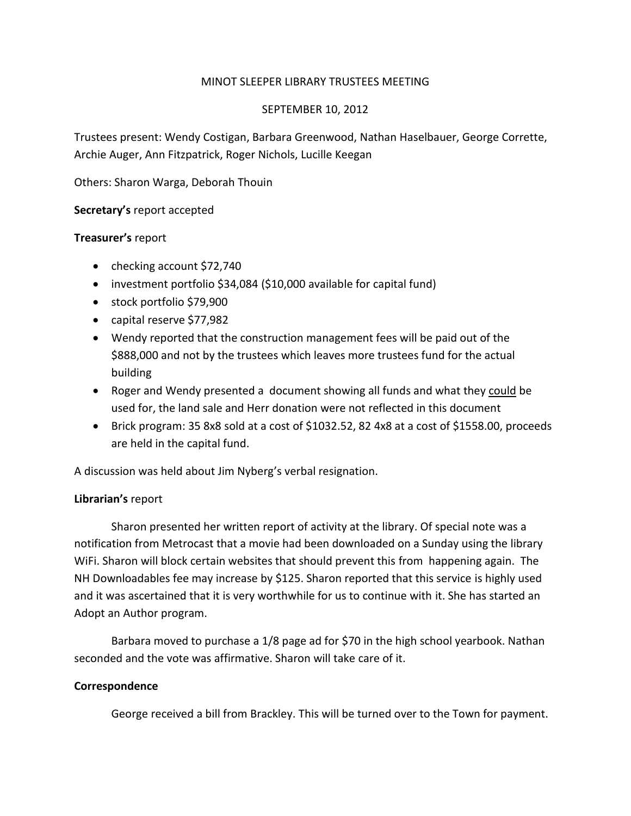## MINOT SLEEPER LIBRARY TRUSTEES MEETING

#### SEPTEMBER 10, 2012

Trustees present: Wendy Costigan, Barbara Greenwood, Nathan Haselbauer, George Corrette, Archie Auger, Ann Fitzpatrick, Roger Nichols, Lucille Keegan

Others: Sharon Warga, Deborah Thouin

**Secretary's** report accepted

## **Treasurer's** report

- checking account \$72,740
- investment portfolio \$34,084 (\$10,000 available for capital fund)
- stock portfolio \$79,900
- capital reserve \$77,982
- Wendy reported that the construction management fees will be paid out of the \$888,000 and not by the trustees which leaves more trustees fund for the actual building
- Roger and Wendy presented a document showing all funds and what they could be used for, the land sale and Herr donation were not reflected in this document
- Brick program: 35 8x8 sold at a cost of \$1032.52, 82 4x8 at a cost of \$1558.00, proceeds are held in the capital fund.

A discussion was held about Jim Nyberg's verbal resignation.

## **Librarian's** report

Sharon presented her written report of activity at the library. Of special note was a notification from Metrocast that a movie had been downloaded on a Sunday using the library WiFi. Sharon will block certain websites that should prevent this from happening again. The NH Downloadables fee may increase by \$125. Sharon reported that this service is highly used and it was ascertained that it is very worthwhile for us to continue with it. She has started an Adopt an Author program.

Barbara moved to purchase a 1/8 page ad for \$70 in the high school yearbook. Nathan seconded and the vote was affirmative. Sharon will take care of it.

## **Correspondence**

George received a bill from Brackley. This will be turned over to the Town for payment.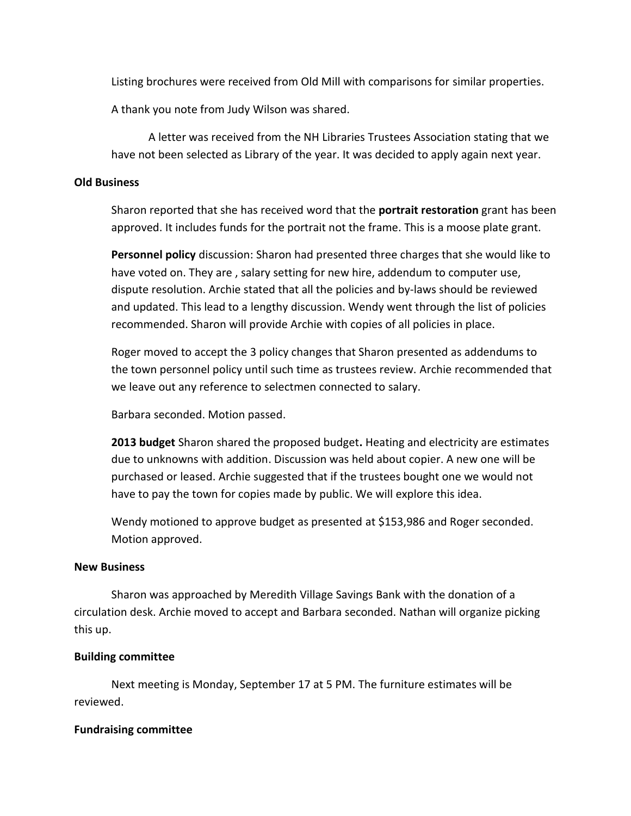Listing brochures were received from Old Mill with comparisons for similar properties.

A thank you note from Judy Wilson was shared.

A letter was received from the NH Libraries Trustees Association stating that we have not been selected as Library of the year. It was decided to apply again next year.

## **Old Business**

Sharon reported that she has received word that the **portrait restoration** grant has been approved. It includes funds for the portrait not the frame. This is a moose plate grant.

**Personnel policy** discussion: Sharon had presented three charges that she would like to have voted on. They are , salary setting for new hire, addendum to computer use, dispute resolution. Archie stated that all the policies and by-laws should be reviewed and updated. This lead to a lengthy discussion. Wendy went through the list of policies recommended. Sharon will provide Archie with copies of all policies in place.

Roger moved to accept the 3 policy changes that Sharon presented as addendums to the town personnel policy until such time as trustees review. Archie recommended that we leave out any reference to selectmen connected to salary.

Barbara seconded. Motion passed.

**2013 budget** Sharon shared the proposed budget**.** Heating and electricity are estimates due to unknowns with addition. Discussion was held about copier. A new one will be purchased or leased. Archie suggested that if the trustees bought one we would not have to pay the town for copies made by public. We will explore this idea.

Wendy motioned to approve budget as presented at \$153,986 and Roger seconded. Motion approved.

## **New Business**

Sharon was approached by Meredith Village Savings Bank with the donation of a circulation desk. Archie moved to accept and Barbara seconded. Nathan will organize picking this up.

# **Building committee**

Next meeting is Monday, September 17 at 5 PM. The furniture estimates will be reviewed.

## **Fundraising committee**